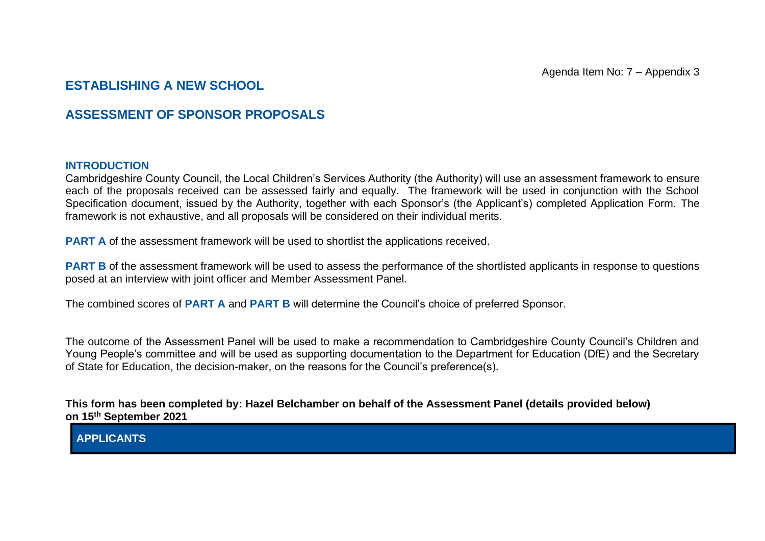## **ESTABLISHING A NEW SCHOOL**

## **ASSESSMENT OF SPONSOR PROPOSALS**

## **INTRODUCTION**

Cambridgeshire County Council, the Local Children's Services Authority (the Authority) will use an assessment framework to ensure each of the proposals received can be assessed fairly and equally. The framework will be used in conjunction with the School Specification document, issued by the Authority, together with each Sponsor's (the Applicant's) completed Application Form. The framework is not exhaustive, and all proposals will be considered on their individual merits.

**PART A** of the assessment framework will be used to shortlist the applications received.

**PART B** of the assessment framework will be used to assess the performance of the shortlisted applicants in response to questions posed at an interview with joint officer and Member Assessment Panel.

The combined scores of **PART A** and **PART B** will determine the Council's choice of preferred Sponsor.

The outcome of the Assessment Panel will be used to make a recommendation to Cambridgeshire County Council's Children and Young People's committee and will be used as supporting documentation to the Department for Education (DfE) and the Secretary of State for Education, the decision-maker, on the reasons for the Council's preference(s).

**This form has been completed by: Hazel Belchamber on behalf of the Assessment Panel (details provided below) on 15th September 2021**

**APPLICANTS**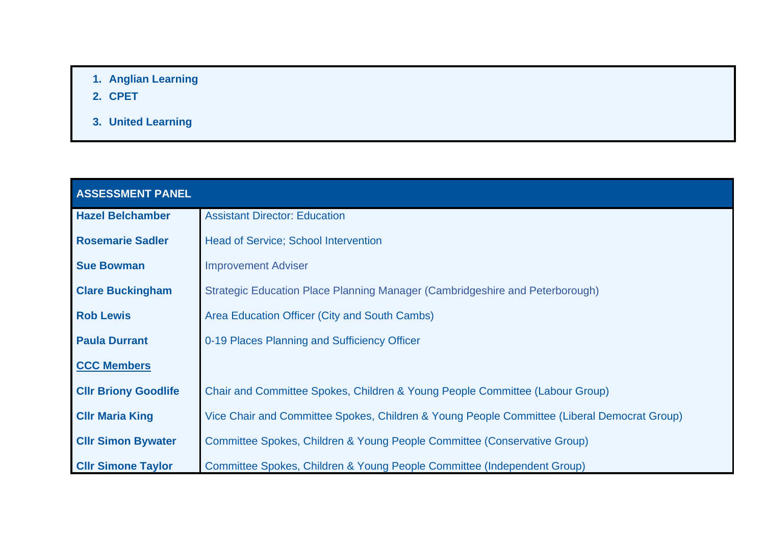- **1. Anglian Learning**
- **2. CPET**
- **3. United Learning**

| <b>ASSESSMENT PANEL</b>     |                                                                                             |
|-----------------------------|---------------------------------------------------------------------------------------------|
| <b>Hazel Belchamber</b>     | <b>Assistant Director: Education</b>                                                        |
| <b>Rosemarie Sadler</b>     | <b>Head of Service; School Intervention</b>                                                 |
| <b>Sue Bowman</b>           | <b>Improvement Adviser</b>                                                                  |
| <b>Clare Buckingham</b>     | Strategic Education Place Planning Manager (Cambridgeshire and Peterborough)                |
| <b>Rob Lewis</b>            | Area Education Officer (City and South Cambs)                                               |
| <b>Paula Durrant</b>        | 0-19 Places Planning and Sufficiency Officer                                                |
| <b>CCC Members</b>          |                                                                                             |
| <b>CIIr Briony Goodlife</b> | Chair and Committee Spokes, Children & Young People Committee (Labour Group)                |
| <b>CIIr Maria King</b>      | Vice Chair and Committee Spokes, Children & Young People Committee (Liberal Democrat Group) |
| <b>CIIr Simon Bywater</b>   | Committee Spokes, Children & Young People Committee (Conservative Group)                    |
| <b>CIIr Simone Taylor</b>   | Committee Spokes, Children & Young People Committee (Independent Group)                     |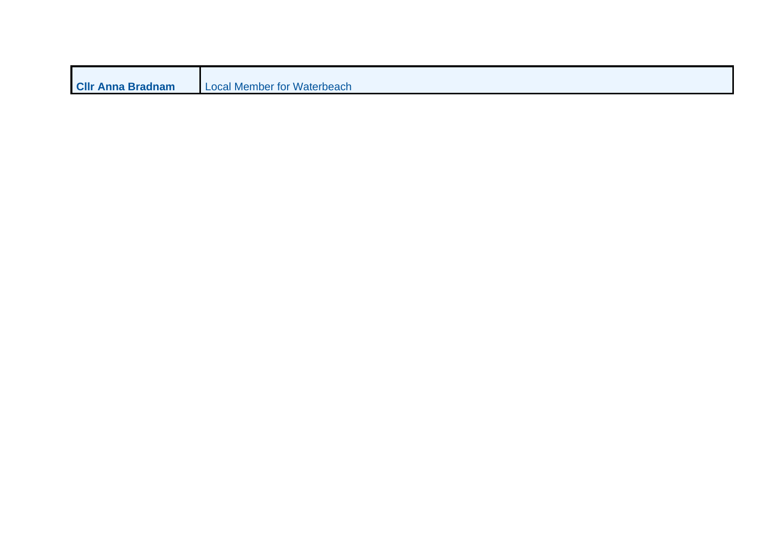| <b>CIIr Anna Bradnam</b> | Local Member for Waterbeach |
|--------------------------|-----------------------------|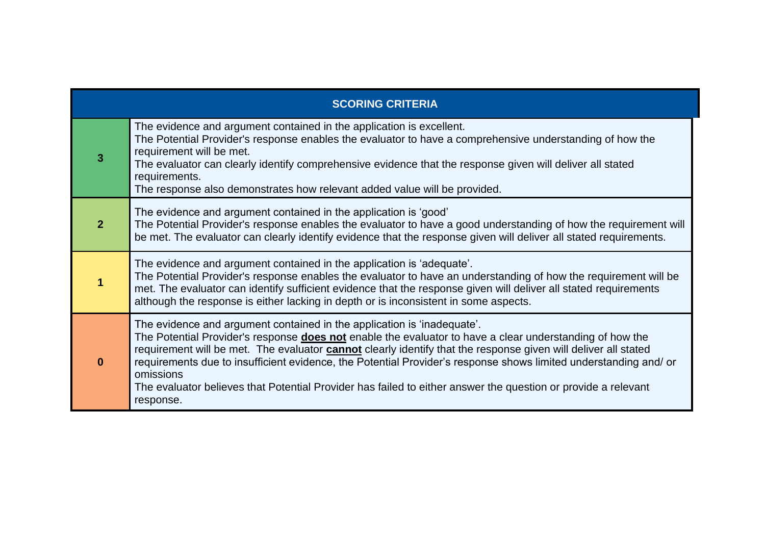|                | <b>SCORING CRITERIA</b>                                                                                                                                                                                                                                                                                                                                                                                                                                                                                                                                                           |
|----------------|-----------------------------------------------------------------------------------------------------------------------------------------------------------------------------------------------------------------------------------------------------------------------------------------------------------------------------------------------------------------------------------------------------------------------------------------------------------------------------------------------------------------------------------------------------------------------------------|
| 3              | The evidence and argument contained in the application is excellent.<br>The Potential Provider's response enables the evaluator to have a comprehensive understanding of how the<br>requirement will be met.<br>The evaluator can clearly identify comprehensive evidence that the response given will deliver all stated<br>requirements.<br>The response also demonstrates how relevant added value will be provided.                                                                                                                                                           |
| 2 <sup>2</sup> | The evidence and argument contained in the application is 'good'<br>The Potential Provider's response enables the evaluator to have a good understanding of how the requirement will<br>be met. The evaluator can clearly identify evidence that the response given will deliver all stated requirements.                                                                                                                                                                                                                                                                         |
| 1              | The evidence and argument contained in the application is 'adequate'.<br>The Potential Provider's response enables the evaluator to have an understanding of how the requirement will be<br>met. The evaluator can identify sufficient evidence that the response given will deliver all stated requirements<br>although the response is either lacking in depth or is inconsistent in some aspects.                                                                                                                                                                              |
| $\bf{0}$       | The evidence and argument contained in the application is 'inadequate'.<br>The Potential Provider's response <b>does not</b> enable the evaluator to have a clear understanding of how the<br>requirement will be met. The evaluator <b>cannot</b> clearly identify that the response given will deliver all stated<br>requirements due to insufficient evidence, the Potential Provider's response shows limited understanding and/or<br>omissions<br>The evaluator believes that Potential Provider has failed to either answer the question or provide a relevant<br>response. |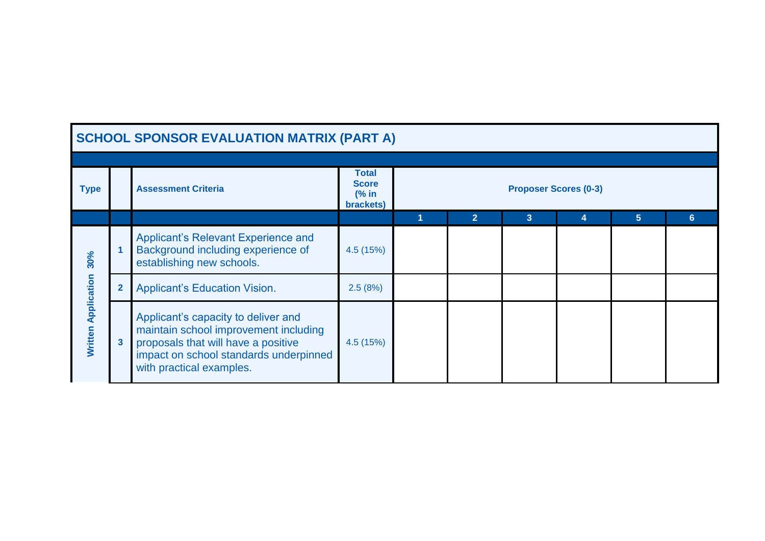|                            | <b>SCHOOL SPONSOR EVALUATION MATRIX (PART A)</b>                                                                                                                                          |                                                     |                |                              |   |   |   |
|----------------------------|-------------------------------------------------------------------------------------------------------------------------------------------------------------------------------------------|-----------------------------------------------------|----------------|------------------------------|---|---|---|
|                            |                                                                                                                                                                                           |                                                     |                |                              |   |   |   |
| <b>Type</b>                | <b>Assessment Criteria</b>                                                                                                                                                                | <b>Total</b><br><b>Score</b><br>$%$ in<br>brackets) |                | <b>Proposer Scores (0-3)</b> |   |   |   |
|                            |                                                                                                                                                                                           |                                                     | $\overline{2}$ | 3                            | 4 | 5 | 6 |
| 30%                        | Applicant's Relevant Experience and<br>Background including experience of<br>establishing new schools.                                                                                    | 4.5 (15%)                                           |                |                              |   |   |   |
|                            | <b>Applicant's Education Vision.</b>                                                                                                                                                      | 2.5(8%)                                             |                |                              |   |   |   |
| <b>Written Application</b> | Applicant's capacity to deliver and<br>maintain school improvement including<br>proposals that will have a positive<br>impact on school standards underpinned<br>with practical examples. | 4.5(15%)                                            |                |                              |   |   |   |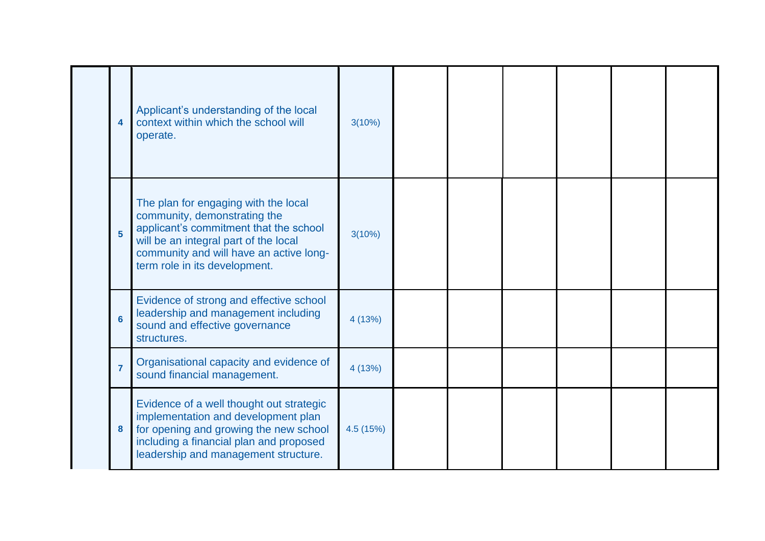| 4              | Applicant's understanding of the local<br>context within which the school will<br>operate.                                                                                                                                          | 3(10%)    |  |  |  |
|----------------|-------------------------------------------------------------------------------------------------------------------------------------------------------------------------------------------------------------------------------------|-----------|--|--|--|
| $5\phantom{a}$ | The plan for engaging with the local<br>community, demonstrating the<br>applicant's commitment that the school<br>will be an integral part of the local<br>community and will have an active long-<br>term role in its development. | 3(10%)    |  |  |  |
| $6\phantom{a}$ | Evidence of strong and effective school<br>leadership and management including<br>sound and effective governance<br>structures.                                                                                                     | 4 (13%)   |  |  |  |
| $\overline{7}$ | Organisational capacity and evidence of<br>sound financial management.                                                                                                                                                              | 4 (13%)   |  |  |  |
| 8              | Evidence of a well thought out strategic<br>implementation and development plan<br>for opening and growing the new school<br>including a financial plan and proposed<br>leadership and management structure.                        | 4.5 (15%) |  |  |  |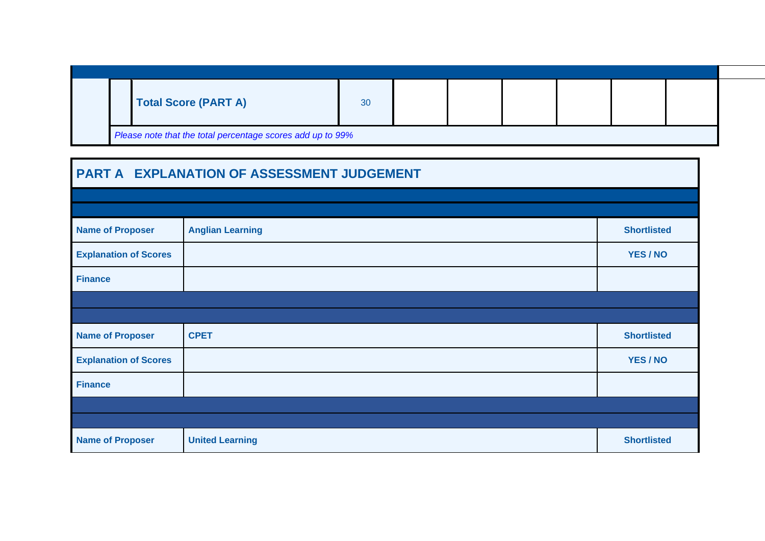|  |  | <b>Total Score (PART A)</b> | 30 |  |  |  |  |  |  |
|--|--|-----------------------------|----|--|--|--|--|--|--|
|--|--|-----------------------------|----|--|--|--|--|--|--|

| PART A EXPLANATION OF ASSESSMENT JUDGEMENT |                         |                    |  |  |  |
|--------------------------------------------|-------------------------|--------------------|--|--|--|
|                                            |                         |                    |  |  |  |
| <b>Name of Proposer</b>                    | <b>Anglian Learning</b> | <b>Shortlisted</b> |  |  |  |
| <b>Explanation of Scores</b>               |                         | YES / NO           |  |  |  |
| <b>Finance</b>                             |                         |                    |  |  |  |
|                                            |                         |                    |  |  |  |
| <b>Name of Proposer</b>                    | <b>CPET</b>             | <b>Shortlisted</b> |  |  |  |
| <b>Explanation of Scores</b>               |                         | YES / NO           |  |  |  |
| <b>Finance</b>                             |                         |                    |  |  |  |
|                                            |                         |                    |  |  |  |
| <b>Name of Proposer</b>                    | <b>United Learning</b>  | <b>Shortlisted</b> |  |  |  |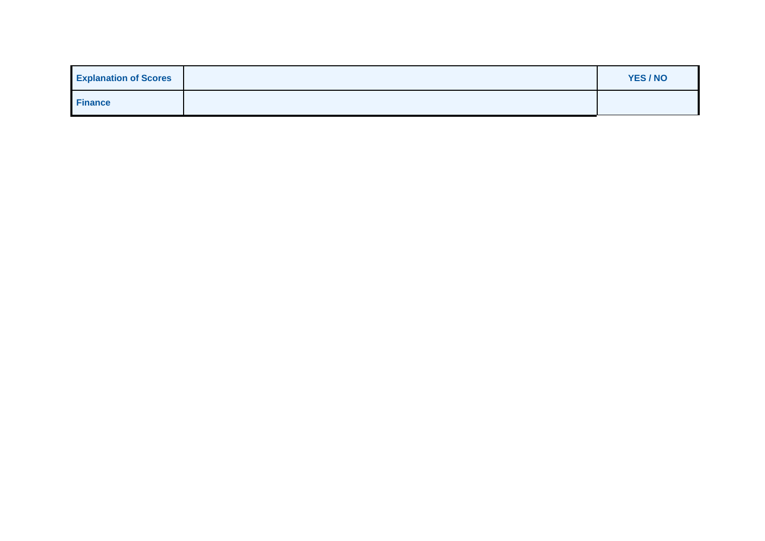| <b>Explanation of Scores</b> | YES / NO |
|------------------------------|----------|
| <b>Finance</b>               |          |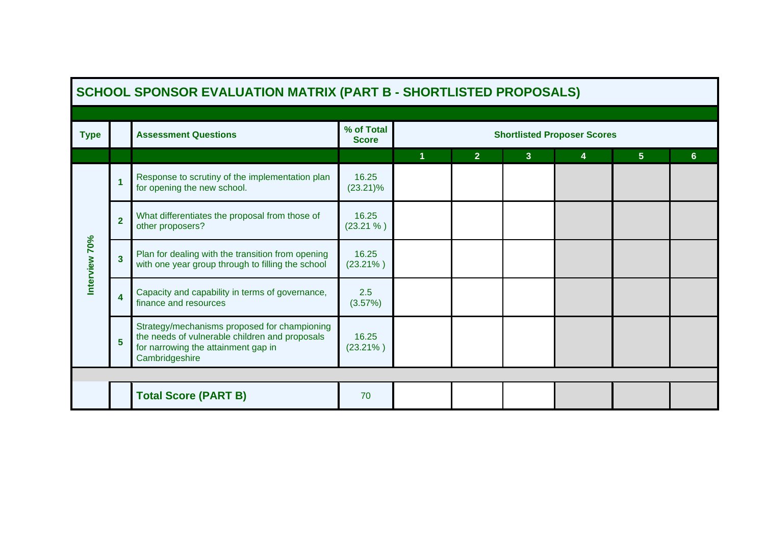|               |                | <b>SCHOOL SPONSOR EVALUATION MATRIX (PART B - SHORTLISTED PROPOSALS)</b>                                                                                |                            |   |                |                |                                    |                |                |
|---------------|----------------|---------------------------------------------------------------------------------------------------------------------------------------------------------|----------------------------|---|----------------|----------------|------------------------------------|----------------|----------------|
|               |                |                                                                                                                                                         |                            |   |                |                |                                    |                |                |
| <b>Type</b>   |                | <b>Assessment Questions</b>                                                                                                                             | % of Total<br><b>Score</b> |   |                |                | <b>Shortlisted Proposer Scores</b> |                |                |
|               |                |                                                                                                                                                         |                            | 1 | 2 <sup>1</sup> | $\overline{3}$ | 4                                  | 5 <sup>1</sup> | 6 <sup>1</sup> |
|               |                | Response to scrutiny of the implementation plan<br>for opening the new school.                                                                          | 16.25<br>$(23.21)\%$       |   |                |                |                                    |                |                |
|               | $\overline{2}$ | What differentiates the proposal from those of<br>other proposers?                                                                                      | 16.25<br>(23.21%           |   |                |                |                                    |                |                |
| Interview 70% | 3              | Plan for dealing with the transition from opening<br>with one year group through to filling the school                                                  | 16.25<br>$(23.21\%)$       |   |                |                |                                    |                |                |
|               | 4              | Capacity and capability in terms of governance,<br>finance and resources                                                                                | 2.5<br>(3.57%)             |   |                |                |                                    |                |                |
|               | 5              | Strategy/mechanisms proposed for championing<br>the needs of vulnerable children and proposals<br>for narrowing the attainment gap in<br>Cambridgeshire | 16.25<br>$(23.21\%)$       |   |                |                |                                    |                |                |
|               |                |                                                                                                                                                         |                            |   |                |                |                                    |                |                |
|               |                | <b>Total Score (PART B)</b>                                                                                                                             | 70                         |   |                |                |                                    |                |                |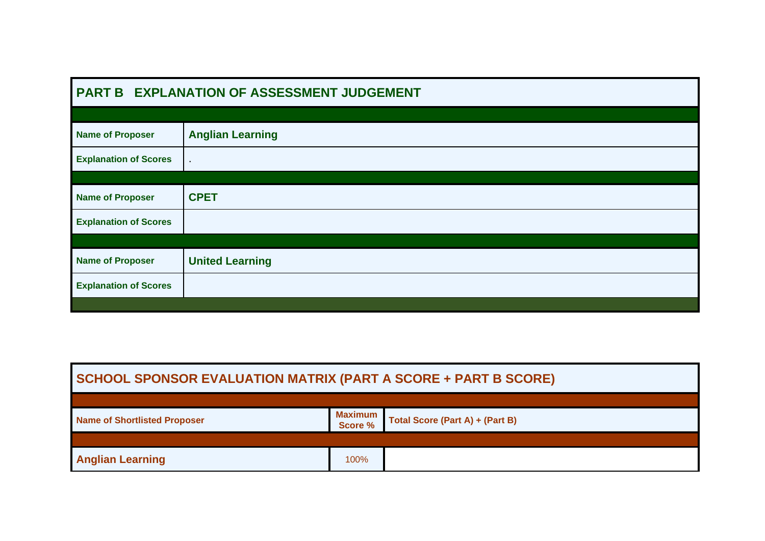| <b>PART B</b>                | <b>EXPLANATION OF ASSESSMENT JUDGEMENT</b> |
|------------------------------|--------------------------------------------|
|                              |                                            |
| <b>Name of Proposer</b>      | <b>Anglian Learning</b>                    |
| <b>Explanation of Scores</b> | $\bullet$                                  |
|                              |                                            |
| <b>Name of Proposer</b>      | <b>CPET</b>                                |
| <b>Explanation of Scores</b> |                                            |
|                              |                                            |
| <b>Name of Proposer</b>      | <b>United Learning</b>                     |
| <b>Explanation of Scores</b> |                                            |
|                              |                                            |

| <b>SCHOOL SPONSOR EVALUATION MATRIX (PART A SCORE + PART B SCORE)</b> |                           |                                 |
|-----------------------------------------------------------------------|---------------------------|---------------------------------|
|                                                                       |                           |                                 |
| <b>Name of Shortlisted Proposer</b>                                   | <b>Maximum</b><br>Score % | Total Score (Part A) + (Part B) |
|                                                                       |                           |                                 |
| <b>Anglian Learning</b>                                               | 100%                      |                                 |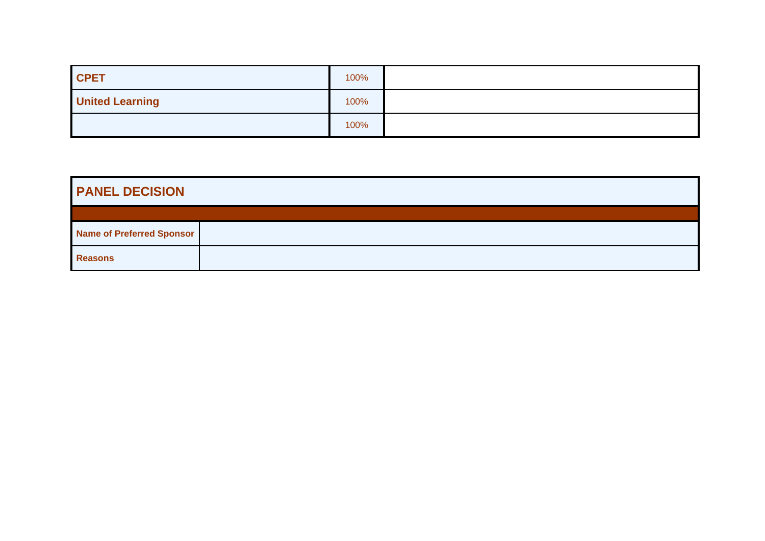| <b>CPET</b>            | 100% |  |
|------------------------|------|--|
| <b>United Learning</b> | 100% |  |
|                        | 100% |  |

| <b>PANEL DECISION</b>            |  |  |
|----------------------------------|--|--|
|                                  |  |  |
| <b>Name of Preferred Sponsor</b> |  |  |
| <b>Reasons</b>                   |  |  |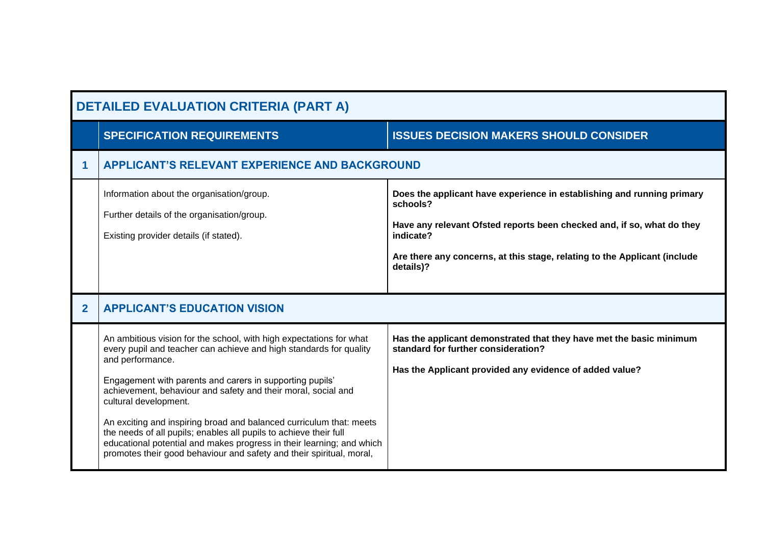|              | <b>SPECIFICATION REQUIREMENTS</b>                                                                                                                                                                                                                                                                                   | <b>ISSUES DECISION MAKERS SHOULD CONSIDER</b>                                                                                                                                                                                                                       |
|--------------|---------------------------------------------------------------------------------------------------------------------------------------------------------------------------------------------------------------------------------------------------------------------------------------------------------------------|---------------------------------------------------------------------------------------------------------------------------------------------------------------------------------------------------------------------------------------------------------------------|
| 1            | <b>APPLICANT'S RELEVANT EXPERIENCE AND BACKGROUND</b>                                                                                                                                                                                                                                                               |                                                                                                                                                                                                                                                                     |
|              | Information about the organisation/group.<br>Further details of the organisation/group.<br>Existing provider details (if stated).                                                                                                                                                                                   | Does the applicant have experience in establishing and running primary<br>schools?<br>Have any relevant Ofsted reports been checked and, if so, what do they<br>indicate?<br>Are there any concerns, at this stage, relating to the Applicant (include<br>details)? |
|              |                                                                                                                                                                                                                                                                                                                     |                                                                                                                                                                                                                                                                     |
| $\mathbf{2}$ | <b>APPLICANT'S EDUCATION VISION</b>                                                                                                                                                                                                                                                                                 |                                                                                                                                                                                                                                                                     |
|              | An ambitious vision for the school, with high expectations for what<br>every pupil and teacher can achieve and high standards for quality<br>and performance.<br>Engagement with parents and carers in supporting pupils'<br>achievement, behaviour and safety and their moral, social and<br>cultural development. | Has the applicant demonstrated that they have met the basic minimum<br>standard for further consideration?<br>Has the Applicant provided any evidence of added value?                                                                                               |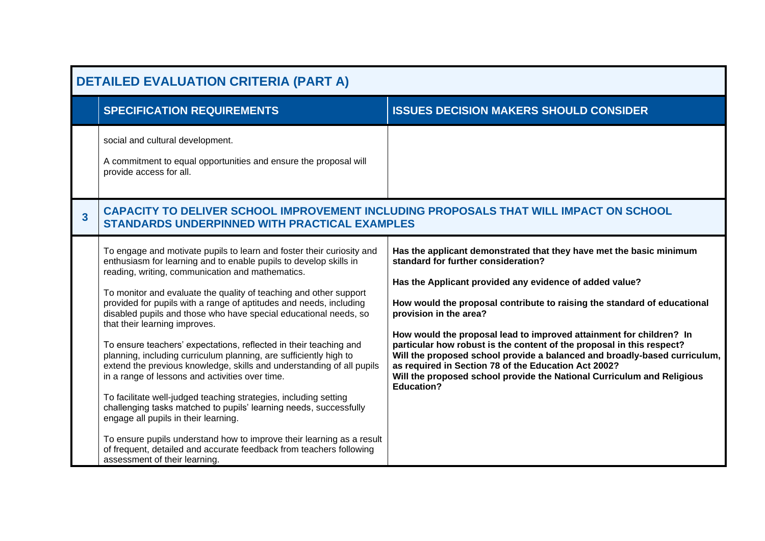|                         | <b>DETAILED EVALUATION CRITERIA (PART A)</b>                                                                                                                                                                                                                                                                                                                                                                                                                                                                                                                                                                                                                                                                                                                                                                                                                                                                                                                                                                                                                                           |                                                                                                                                                                                                                                                                                                                                                                                                                                                                                                                                                                                                                                                                 |  |
|-------------------------|----------------------------------------------------------------------------------------------------------------------------------------------------------------------------------------------------------------------------------------------------------------------------------------------------------------------------------------------------------------------------------------------------------------------------------------------------------------------------------------------------------------------------------------------------------------------------------------------------------------------------------------------------------------------------------------------------------------------------------------------------------------------------------------------------------------------------------------------------------------------------------------------------------------------------------------------------------------------------------------------------------------------------------------------------------------------------------------|-----------------------------------------------------------------------------------------------------------------------------------------------------------------------------------------------------------------------------------------------------------------------------------------------------------------------------------------------------------------------------------------------------------------------------------------------------------------------------------------------------------------------------------------------------------------------------------------------------------------------------------------------------------------|--|
|                         | <b>SPECIFICATION REQUIREMENTS</b>                                                                                                                                                                                                                                                                                                                                                                                                                                                                                                                                                                                                                                                                                                                                                                                                                                                                                                                                                                                                                                                      | <b>ISSUES DECISION MAKERS SHOULD CONSIDER</b>                                                                                                                                                                                                                                                                                                                                                                                                                                                                                                                                                                                                                   |  |
|                         | social and cultural development.<br>A commitment to equal opportunities and ensure the proposal will<br>provide access for all.                                                                                                                                                                                                                                                                                                                                                                                                                                                                                                                                                                                                                                                                                                                                                                                                                                                                                                                                                        |                                                                                                                                                                                                                                                                                                                                                                                                                                                                                                                                                                                                                                                                 |  |
| $\overline{\mathbf{3}}$ | <b>STANDARDS UNDERPINNED WITH PRACTICAL EXAMPLES</b>                                                                                                                                                                                                                                                                                                                                                                                                                                                                                                                                                                                                                                                                                                                                                                                                                                                                                                                                                                                                                                   | CAPACITY TO DELIVER SCHOOL IMPROVEMENT INCLUDING PROPOSALS THAT WILL IMPACT ON SCHOOL                                                                                                                                                                                                                                                                                                                                                                                                                                                                                                                                                                           |  |
|                         | To engage and motivate pupils to learn and foster their curiosity and<br>enthusiasm for learning and to enable pupils to develop skills in<br>reading, writing, communication and mathematics.<br>To monitor and evaluate the quality of teaching and other support<br>provided for pupils with a range of aptitudes and needs, including<br>disabled pupils and those who have special educational needs, so<br>that their learning improves.<br>To ensure teachers' expectations, reflected in their teaching and<br>planning, including curriculum planning, are sufficiently high to<br>extend the previous knowledge, skills and understanding of all pupils<br>in a range of lessons and activities over time.<br>To facilitate well-judged teaching strategies, including setting<br>challenging tasks matched to pupils' learning needs, successfully<br>engage all pupils in their learning.<br>To ensure pupils understand how to improve their learning as a result<br>of frequent, detailed and accurate feedback from teachers following<br>assessment of their learning. | Has the applicant demonstrated that they have met the basic minimum<br>standard for further consideration?<br>Has the Applicant provided any evidence of added value?<br>How would the proposal contribute to raising the standard of educational<br>provision in the area?<br>How would the proposal lead to improved attainment for children? In<br>particular how robust is the content of the proposal in this respect?<br>Will the proposed school provide a balanced and broadly-based curriculum,<br>as required in Section 78 of the Education Act 2002?<br>Will the proposed school provide the National Curriculum and Religious<br><b>Education?</b> |  |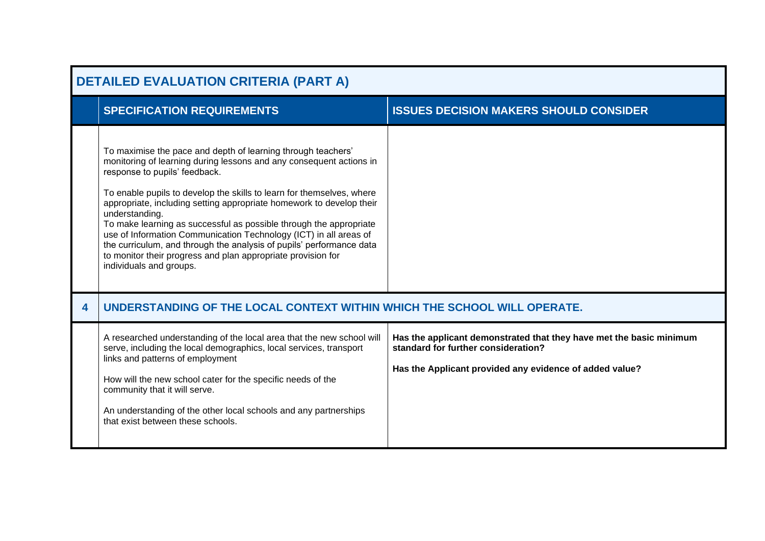|   | <b>DETAILED EVALUATION CRITERIA (PART A)</b>                                                                                                                                                                                                                                                                                                                                                                                                                                                                                                                                                                                                          |                                                                                                                                                                       |  |
|---|-------------------------------------------------------------------------------------------------------------------------------------------------------------------------------------------------------------------------------------------------------------------------------------------------------------------------------------------------------------------------------------------------------------------------------------------------------------------------------------------------------------------------------------------------------------------------------------------------------------------------------------------------------|-----------------------------------------------------------------------------------------------------------------------------------------------------------------------|--|
|   | <b>SPECIFICATION REQUIREMENTS</b>                                                                                                                                                                                                                                                                                                                                                                                                                                                                                                                                                                                                                     | <b>ISSUES DECISION MAKERS SHOULD CONSIDER</b>                                                                                                                         |  |
|   | To maximise the pace and depth of learning through teachers'<br>monitoring of learning during lessons and any consequent actions in<br>response to pupils' feedback.<br>To enable pupils to develop the skills to learn for themselves, where<br>appropriate, including setting appropriate homework to develop their<br>understanding.<br>To make learning as successful as possible through the appropriate<br>use of Information Communication Technology (ICT) in all areas of<br>the curriculum, and through the analysis of pupils' performance data<br>to monitor their progress and plan appropriate provision for<br>individuals and groups. |                                                                                                                                                                       |  |
| 4 | UNDERSTANDING OF THE LOCAL CONTEXT WITHIN WHICH THE SCHOOL WILL OPERATE.                                                                                                                                                                                                                                                                                                                                                                                                                                                                                                                                                                              |                                                                                                                                                                       |  |
|   | A researched understanding of the local area that the new school will<br>serve, including the local demographics, local services, transport<br>links and patterns of employment<br>How will the new school cater for the specific needs of the<br>community that it will serve.<br>An understanding of the other local schools and any partnerships<br>that exist between these schools.                                                                                                                                                                                                                                                              | Has the applicant demonstrated that they have met the basic minimum<br>standard for further consideration?<br>Has the Applicant provided any evidence of added value? |  |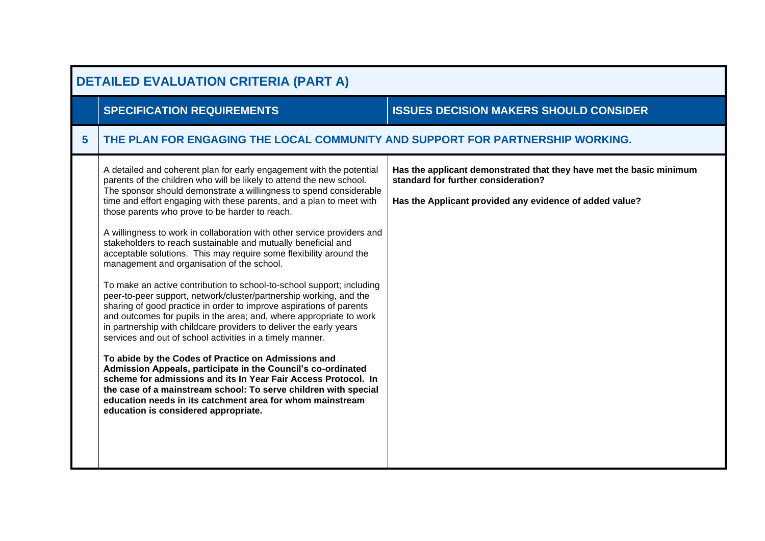|   | <b>DETAILED EVALUATION CRITERIA (PART A)</b>                                                                                                                                                                                                                                                                                                                                                                                                                                                                                                                                                                                                                                                                                                                                                                                                                                                                                                                                                                                                                                                                                                                                                                                                                                                                                                                                                                  |                                                                                                                                                                       |  |
|---|---------------------------------------------------------------------------------------------------------------------------------------------------------------------------------------------------------------------------------------------------------------------------------------------------------------------------------------------------------------------------------------------------------------------------------------------------------------------------------------------------------------------------------------------------------------------------------------------------------------------------------------------------------------------------------------------------------------------------------------------------------------------------------------------------------------------------------------------------------------------------------------------------------------------------------------------------------------------------------------------------------------------------------------------------------------------------------------------------------------------------------------------------------------------------------------------------------------------------------------------------------------------------------------------------------------------------------------------------------------------------------------------------------------|-----------------------------------------------------------------------------------------------------------------------------------------------------------------------|--|
|   | <b>SPECIFICATION REQUIREMENTS</b>                                                                                                                                                                                                                                                                                                                                                                                                                                                                                                                                                                                                                                                                                                                                                                                                                                                                                                                                                                                                                                                                                                                                                                                                                                                                                                                                                                             | <b>ISSUES DECISION MAKERS SHOULD CONSIDER</b>                                                                                                                         |  |
| 5 | THE PLAN FOR ENGAGING THE LOCAL COMMUNITY AND SUPPORT FOR PARTNERSHIP WORKING.                                                                                                                                                                                                                                                                                                                                                                                                                                                                                                                                                                                                                                                                                                                                                                                                                                                                                                                                                                                                                                                                                                                                                                                                                                                                                                                                |                                                                                                                                                                       |  |
|   | A detailed and coherent plan for early engagement with the potential<br>parents of the children who will be likely to attend the new school.<br>The sponsor should demonstrate a willingness to spend considerable<br>time and effort engaging with these parents, and a plan to meet with<br>those parents who prove to be harder to reach.<br>A willingness to work in collaboration with other service providers and<br>stakeholders to reach sustainable and mutually beneficial and<br>acceptable solutions. This may require some flexibility around the<br>management and organisation of the school.<br>To make an active contribution to school-to-school support; including<br>peer-to-peer support, network/cluster/partnership working, and the<br>sharing of good practice in order to improve aspirations of parents<br>and outcomes for pupils in the area; and, where appropriate to work<br>in partnership with childcare providers to deliver the early years<br>services and out of school activities in a timely manner.<br>To abide by the Codes of Practice on Admissions and<br>Admission Appeals, participate in the Council's co-ordinated<br>scheme for admissions and its In Year Fair Access Protocol. In<br>the case of a mainstream school: To serve children with special<br>education needs in its catchment area for whom mainstream<br>education is considered appropriate. | Has the applicant demonstrated that they have met the basic minimum<br>standard for further consideration?<br>Has the Applicant provided any evidence of added value? |  |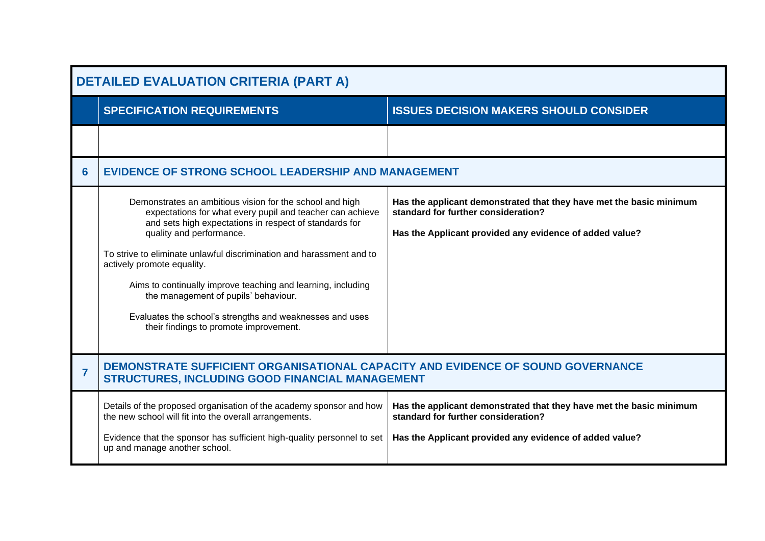|                | <b>DETAILED EVALUATION CRITERIA (PART A)</b>                                                                                                                                                                                                                                                                                                                                                                                                                                                                                    |                                                                                                                                                                       |  |
|----------------|---------------------------------------------------------------------------------------------------------------------------------------------------------------------------------------------------------------------------------------------------------------------------------------------------------------------------------------------------------------------------------------------------------------------------------------------------------------------------------------------------------------------------------|-----------------------------------------------------------------------------------------------------------------------------------------------------------------------|--|
|                | <b>SPECIFICATION REQUIREMENTS</b>                                                                                                                                                                                                                                                                                                                                                                                                                                                                                               | <b>ISSUES DECISION MAKERS SHOULD CONSIDER</b>                                                                                                                         |  |
|                |                                                                                                                                                                                                                                                                                                                                                                                                                                                                                                                                 |                                                                                                                                                                       |  |
| 6              | <b>EVIDENCE OF STRONG SCHOOL LEADERSHIP AND MANAGEMENT</b>                                                                                                                                                                                                                                                                                                                                                                                                                                                                      |                                                                                                                                                                       |  |
|                | Demonstrates an ambitious vision for the school and high<br>expectations for what every pupil and teacher can achieve<br>and sets high expectations in respect of standards for<br>quality and performance.<br>To strive to eliminate unlawful discrimination and harassment and to<br>actively promote equality.<br>Aims to continually improve teaching and learning, including<br>the management of pupils' behaviour.<br>Evaluates the school's strengths and weaknesses and uses<br>their findings to promote improvement. | Has the applicant demonstrated that they have met the basic minimum<br>standard for further consideration?<br>Has the Applicant provided any evidence of added value? |  |
| $\overline{7}$ | DEMONSTRATE SUFFICIENT ORGANISATIONAL CAPACITY AND EVIDENCE OF SOUND GOVERNANCE<br><b>STRUCTURES, INCLUDING GOOD FINANCIAL MANAGEMENT</b>                                                                                                                                                                                                                                                                                                                                                                                       |                                                                                                                                                                       |  |
|                | Details of the proposed organisation of the academy sponsor and how<br>the new school will fit into the overall arrangements.<br>Evidence that the sponsor has sufficient high-quality personnel to set<br>up and manage another school.                                                                                                                                                                                                                                                                                        | Has the applicant demonstrated that they have met the basic minimum<br>standard for further consideration?<br>Has the Applicant provided any evidence of added value? |  |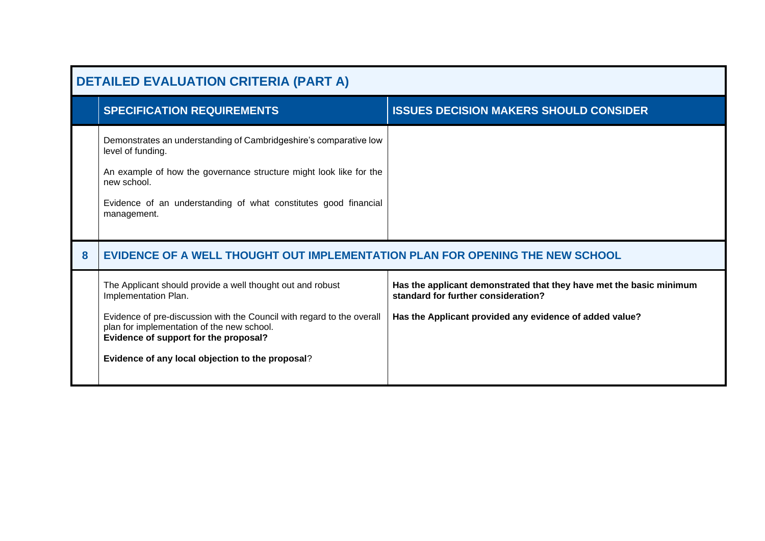|   | <b>DETAILED EVALUATION CRITERIA (PART A)</b>                                                                                                                                                                                                                                                            |                                                                                                                                                                       |  |
|---|---------------------------------------------------------------------------------------------------------------------------------------------------------------------------------------------------------------------------------------------------------------------------------------------------------|-----------------------------------------------------------------------------------------------------------------------------------------------------------------------|--|
|   | <b>SPECIFICATION REQUIREMENTS</b>                                                                                                                                                                                                                                                                       | <b>ISSUES DECISION MAKERS SHOULD CONSIDER</b>                                                                                                                         |  |
|   | Demonstrates an understanding of Cambridgeshire's comparative low<br>level of funding.<br>An example of how the governance structure might look like for the<br>new school.<br>Evidence of an understanding of what constitutes good financial<br>management.                                           |                                                                                                                                                                       |  |
| 8 | EVIDENCE OF A WELL THOUGHT OUT IMPLEMENTATION PLAN FOR OPENING THE NEW SCHOOL                                                                                                                                                                                                                           |                                                                                                                                                                       |  |
|   | The Applicant should provide a well thought out and robust<br>Implementation Plan.<br>Evidence of pre-discussion with the Council with regard to the overall<br>plan for implementation of the new school.<br>Evidence of support for the proposal?<br>Evidence of any local objection to the proposal? | Has the applicant demonstrated that they have met the basic minimum<br>standard for further consideration?<br>Has the Applicant provided any evidence of added value? |  |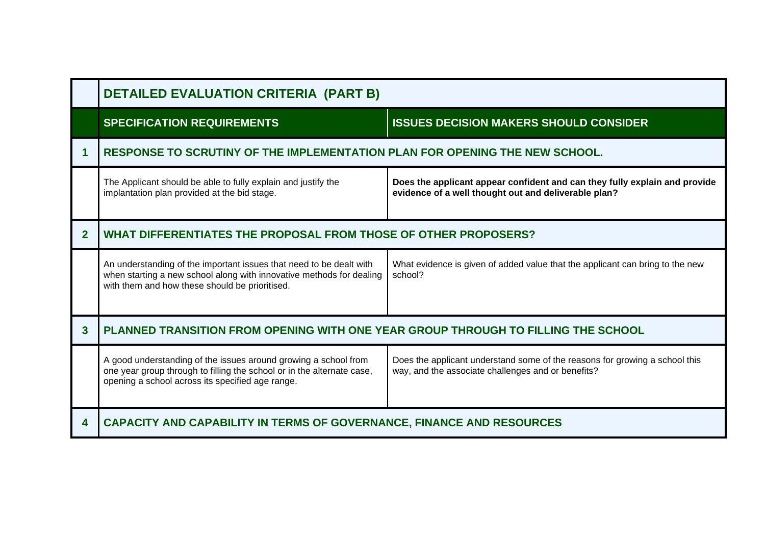|                | <b>DETAILED EVALUATION CRITERIA (PART B)</b>                                                                                                                                                  |                                                                                                                                    |
|----------------|-----------------------------------------------------------------------------------------------------------------------------------------------------------------------------------------------|------------------------------------------------------------------------------------------------------------------------------------|
|                | <b>SPECIFICATION REQUIREMENTS</b>                                                                                                                                                             | <b>ISSUES DECISION MAKERS SHOULD CONSIDER</b>                                                                                      |
|                | RESPONSE TO SCRUTINY OF THE IMPLEMENTATION PLAN FOR OPENING THE NEW SCHOOL.                                                                                                                   |                                                                                                                                    |
|                | The Applicant should be able to fully explain and justify the<br>implantation plan provided at the bid stage.                                                                                 | Does the applicant appear confident and can they fully explain and provide<br>evidence of a well thought out and deliverable plan? |
| $\overline{2}$ | WHAT DIFFERENTIATES THE PROPOSAL FROM THOSE OF OTHER PROPOSERS?                                                                                                                               |                                                                                                                                    |
|                | An understanding of the important issues that need to be dealt with<br>when starting a new school along with innovative methods for dealing<br>with them and how these should be prioritised. | What evidence is given of added value that the applicant can bring to the new<br>school?                                           |
| 3              | PLANNED TRANSITION FROM OPENING WITH ONE YEAR GROUP THROUGH TO FILLING THE SCHOOL                                                                                                             |                                                                                                                                    |
|                | A good understanding of the issues around growing a school from<br>one year group through to filling the school or in the alternate case,<br>opening a school across its specified age range. | Does the applicant understand some of the reasons for growing a school this<br>way, and the associate challenges and or benefits?  |
| 4              | CAPACITY AND CAPABILITY IN TERMS OF GOVERNANCE, FINANCE AND RESOURCES                                                                                                                         |                                                                                                                                    |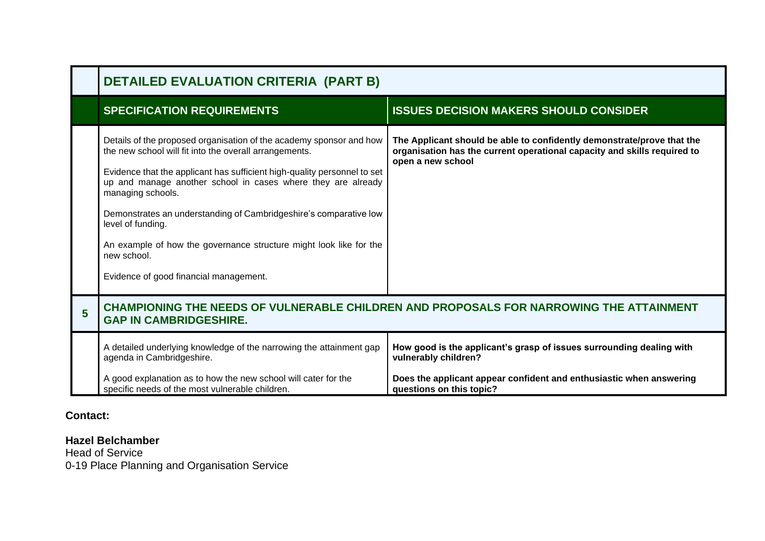|   | <b>DETAILED EVALUATION CRITERIA (PART B)</b>                                                                                                                                                                                                                                                                                                                                                                                                                                                                            |                                                                                                                                                                         |
|---|-------------------------------------------------------------------------------------------------------------------------------------------------------------------------------------------------------------------------------------------------------------------------------------------------------------------------------------------------------------------------------------------------------------------------------------------------------------------------------------------------------------------------|-------------------------------------------------------------------------------------------------------------------------------------------------------------------------|
|   | <b>SPECIFICATION REQUIREMENTS</b>                                                                                                                                                                                                                                                                                                                                                                                                                                                                                       | <b>ISSUES DECISION MAKERS SHOULD CONSIDER</b>                                                                                                                           |
|   | Details of the proposed organisation of the academy sponsor and how<br>the new school will fit into the overall arrangements.<br>Evidence that the applicant has sufficient high-quality personnel to set<br>up and manage another school in cases where they are already<br>managing schools.<br>Demonstrates an understanding of Cambridgeshire's comparative low<br>level of funding.<br>An example of how the governance structure might look like for the<br>new school.<br>Evidence of good financial management. | The Applicant should be able to confidently demonstrate/prove that the<br>organisation has the current operational capacity and skills required to<br>open a new school |
| 5 | CHAMPIONING THE NEEDS OF VULNERABLE CHILDREN AND PROPOSALS FOR NARROWING THE ATTAINMENT<br><b>GAP IN CAMBRIDGESHIRE.</b>                                                                                                                                                                                                                                                                                                                                                                                                |                                                                                                                                                                         |
|   | A detailed underlying knowledge of the narrowing the attainment gap<br>agenda in Cambridgeshire.                                                                                                                                                                                                                                                                                                                                                                                                                        | How good is the applicant's grasp of issues surrounding dealing with<br>vulnerably children?                                                                            |
|   | A good explanation as to how the new school will cater for the<br>specific needs of the most vulnerable children.                                                                                                                                                                                                                                                                                                                                                                                                       | Does the applicant appear confident and enthusiastic when answering<br>questions on this topic?                                                                         |

**Contact:**

## **Hazel Belchamber**

Head of Service 0-19 Place Planning and Organisation Service